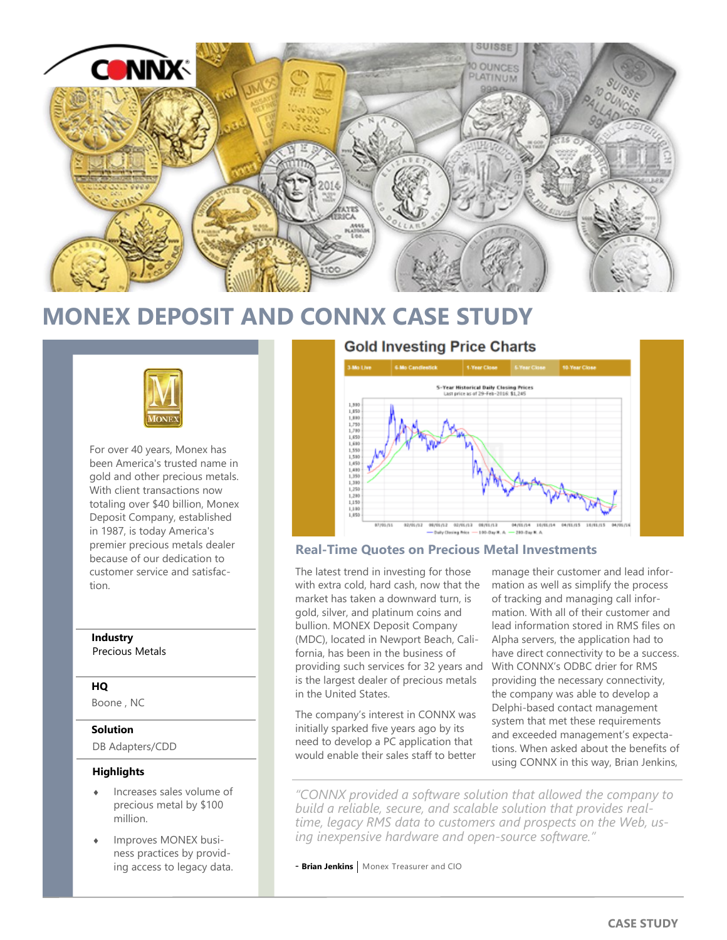

# **MONEX DEPOSIT AND CONNX CASE STUDY**



For over 40 years, Monex has been America's trusted name in gold and other precious metals. With client transactions now totaling over \$40 billion, Monex Deposit Company, established in 1987, is today America's premier precious metals dealer because of our dedication to customer service and satisfaction.

## **Industry**

Precious Metals

### **HQ**

Boone , NC

#### **Solution**

DB Adapters/CDD

#### **Highlights**

- Increases sales volume of precious metal by \$100 million.
- Improves MONEX business practices by providing access to legacy data.

## **Gold Investing Price Charts**



#### **Real-Time Quotes on Precious Metal Investments**

The latest trend in investing for those with extra cold, hard cash, now that the market has taken a downward turn, is gold, silver, and platinum coins and bullion. MONEX Deposit Company (MDC), located in Newport Beach, California, has been in the business of providing such services for 32 years and is the largest dealer of precious metals in the United States.

The company's interest in CONNX was initially sparked five years ago by its need to develop a PC application that would enable their sales staff to better

manage their customer and lead information as well as simplify the process of tracking and managing call information. With all of their customer and lead information stored in RMS files on Alpha servers, the application had to have direct connectivity to be a success. With CONNX's ODBC drier for RMS providing the necessary connectivity, the company was able to develop a Delphi-based contact management system that met these requirements and exceeded management's expectations. When asked about the benefits of using CONNX in this way, Brian Jenkins,

*"CONNX provided a software solution that allowed the company to build a reliable, secure, and scalable solution that provides realtime, legacy RMS data to customers and prospects on the Web, using inexpensive hardware and open-source software."*

- **Brian Jenkins** | Monex Treasurer and CIO